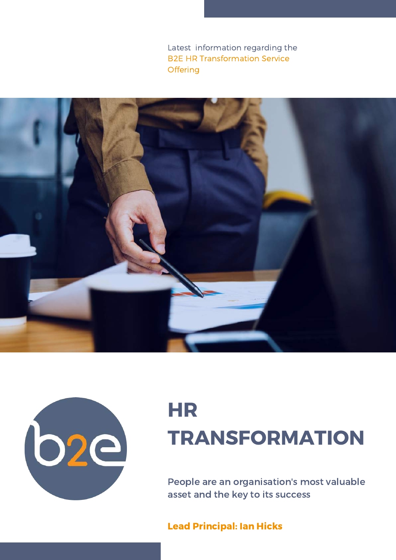Latest information regarding the B2E HR Transformation Service **Offering** 





# HR TRANSFORMATION

People are an organisation's most valuable asset and the key to its success

Lead Principal: Ian Hicks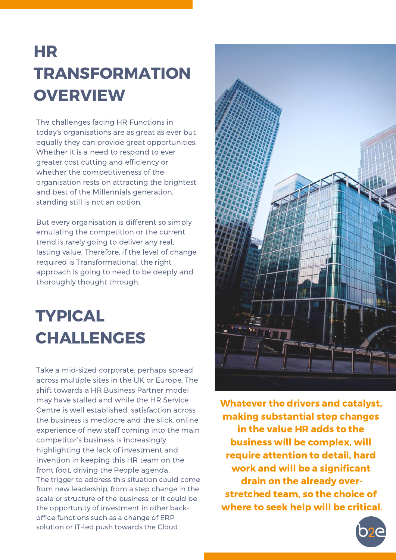## HR TRANSFORMATION **OVERVIEW**

The challenges facing HR Functions in today's organisations are as great as ever but equally they can provide great opportunities. Whether it is a need to respond to ever greater cost cutting and efficiency or whether the competitiveness of the organisation rests on attracting the brightest and best of the Millennials generation, standing still is not an option.

But every organisation is different so simply emulating the competition or the current trend is rarely going to deliver any real, lasting value. Therefore, if the level of change required is Transformational, the right approach is going to need to be deeply and thoroughly thought through.

### TYPICAL CHALLENGES

Take a mid-sized corporate, perhaps spread across multiple sites in the UK or Europe. The shift towards a HR Business Partner model may have stalled and while the HR Service Centre is well established, satisfaction across the business is mediocre and the slick, online experience of new staff coming into the main competitor's business is increasingly highlighting the lack of investment and invention in keeping this HR team on the front foot, driving the People agenda. The trigger to address this situation could come from new leadership, from a step change in the scale or structure of the business, or it could be the opportunity of investment in other backoffice functions such as a change of ERP solution or IT-led push towards the Cloud.



Whatever the drivers and catalyst, making substantial step changes in the value HR adds to the business will be complex, will require attention to detail, hard work and will be a significant drain on the already overstretched team, so the choice of where to seek help will be critical.

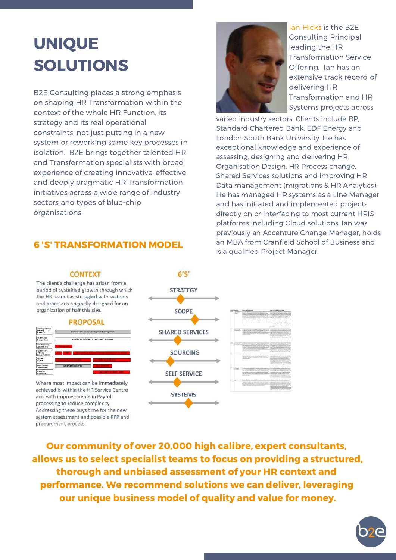### UNIQUE SOLUTIONS

B2E Consulting places a strong emphasis on shaping HR Transformation within the context of the whole HR Function, its strategy and its real operational constraints, not just putting in a new system or reworking some key processes in isolation. B2E brings together talented HR and Transformation specialists with broad experience of creating innovative, effective and deeply pragmatic HR Transformation initiatives across a wide range of industry sectors and types of blue-chip organisations.

### 6 'S' TRANSFORMATION MODEL



Ian Hicks is the B2E Consulting Principal leading the HR Transformation Service Offering. Ian has an extensive track record of delivering HR Transformation and HR Systems projects across

varied industry sectors. Clients include BP, Standard Chartered Bank, EDF Energy and London South Bank University. He has exceptional knowledge and experience of assessing, designing and delivering HR Organisation Design, HR Process change, Shared Services solutions and improving HR Data management (migrations & HR Analytics). He has managed HR systems as a Line Manager and has initiated and implemented projects directly on or interfacing to most current HRIS platforms including Cloud solutions. Ian was previously an Accenture Change Manager, holds an MBA from Cranfield School of Business and is a qualified Project Manager.

#### **CONTEXT**

The client's challenge has arisen from a period of sustained growth through which the HR team has struggled with systems and processes originally designed for an organization of half this size.



Where most impact can be immediately achieved is within the HR Service Centre and with improvements in Payroll processing to reduce complexity. Addressing these buys time for the new system assessment and possible RFP and procurement process.



Our community of over 20,000 high calibre, expert consultants, allows us to select specialist teams to focus on providing a structured, thorough and unbiased assessment of your HR context and performance. We recommend solutions we can deliver, leveraging our unique business model of quality and value for money.